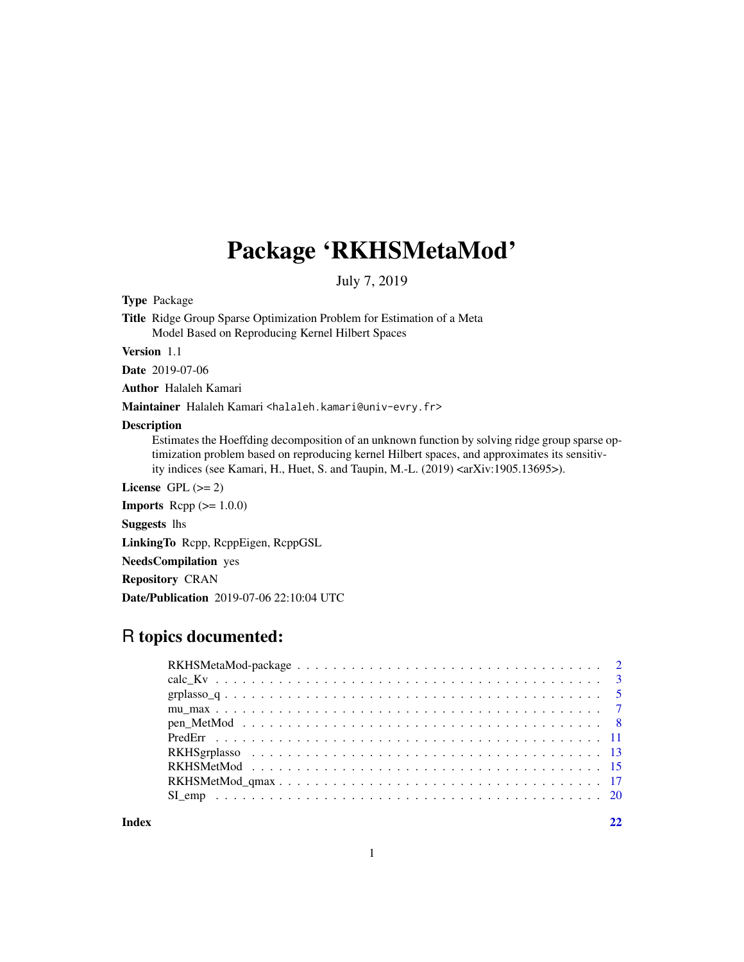## Package 'RKHSMetaMod'

July 7, 2019

Type Package

Title Ridge Group Sparse Optimization Problem for Estimation of a Meta Model Based on Reproducing Kernel Hilbert Spaces

Version 1.1

Date 2019-07-06

Author Halaleh Kamari

Maintainer Halaleh Kamari <halaleh.kamari@univ-evry.fr>

#### Description

Estimates the Hoeffding decomposition of an unknown function by solving ridge group sparse optimization problem based on reproducing kernel Hilbert spaces, and approximates its sensitivity indices (see Kamari, H., Huet, S. and Taupin, M.-L. (2019) <arXiv:1905.13695>).

License GPL  $(>= 2)$ 

**Imports** Rcpp  $(>= 1.0.0)$ 

Suggests lhs

LinkingTo Rcpp, RcppEigen, RcppGSL

NeedsCompilation yes

Repository CRAN

Date/Publication 2019-07-06 22:10:04 UTC

## R topics documented:

**Index** [22](#page-21-0)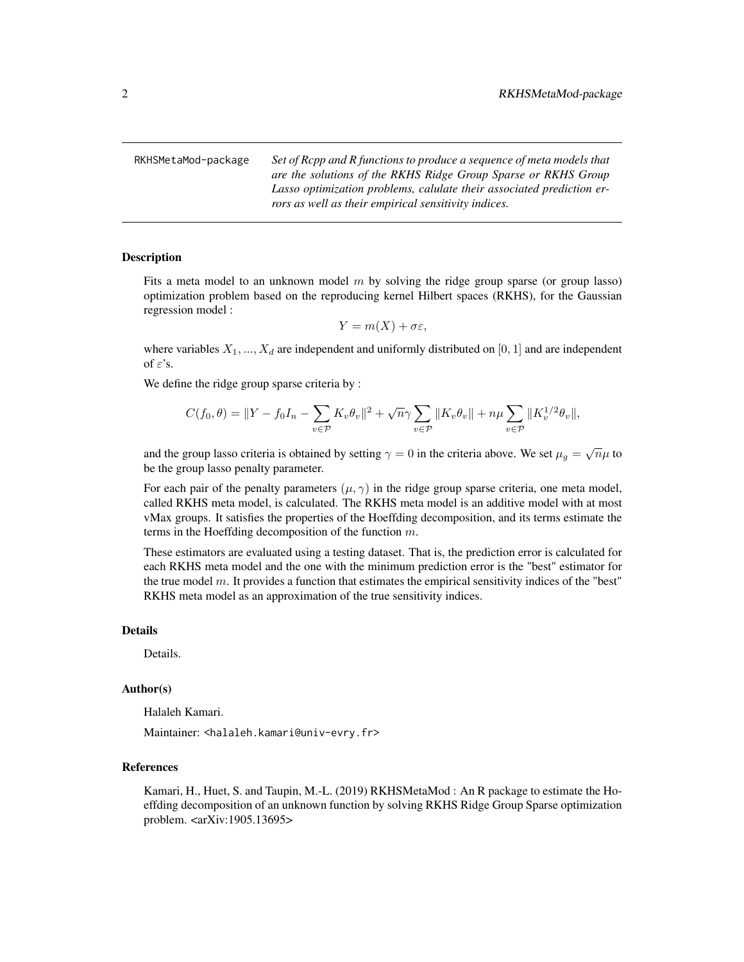<span id="page-1-0"></span>RKHSMetaMod-package *Set of Rcpp and R functions to produce a sequence of meta models that are the solutions of the RKHS Ridge Group Sparse or RKHS Group Lasso optimization problems, calulate their associated prediction errors as well as their empirical sensitivity indices.*

#### <span id="page-1-1"></span>Description

Fits a meta model to an unknown model  $m$  by solving the ridge group sparse (or group lasso) optimization problem based on the reproducing kernel Hilbert spaces (RKHS), for the Gaussian regression model :

$$
Y = m(X) + \sigma \varepsilon,
$$

where variables  $X_1, ..., X_d$  are independent and uniformly distributed on [0, 1] and are independent of  $\varepsilon$ 's.

We define the ridge group sparse criteria by :

$$
C(f_0, \theta) = ||Y - f_0I_n - \sum_{v \in \mathcal{P}} K_v \theta_v||^2 + \sqrt{n}\gamma \sum_{v \in \mathcal{P}} ||K_v \theta_v|| + n\mu \sum_{v \in \mathcal{P}} ||K_v^{1/2} \theta_v||,
$$

and the group lasso criteria is obtained by setting  $\gamma = 0$  in the criteria above. We set  $\mu_g = \sqrt{n}\mu$  to be the group lasso penalty parameter.

For each pair of the penalty parameters  $(\mu, \gamma)$  in the ridge group sparse criteria, one meta model, called RKHS meta model, is calculated. The RKHS meta model is an additive model with at most vMax groups. It satisfies the properties of the Hoeffding decomposition, and its terms estimate the terms in the Hoeffding decomposition of the function  $m$ .

These estimators are evaluated using a testing dataset. That is, the prediction error is calculated for each RKHS meta model and the one with the minimum prediction error is the "best" estimator for the true model  $m$ . It provides a function that estimates the empirical sensitivity indices of the "best" RKHS meta model as an approximation of the true sensitivity indices.

## Details

Details.

#### Author(s)

Halaleh Kamari.

Maintainer: <halaleh.kamari@univ-evry.fr>

#### References

Kamari, H., Huet, S. and Taupin, M.-L. (2019) RKHSMetaMod : An R package to estimate the Hoeffding decomposition of an unknown function by solving RKHS Ridge Group Sparse optimization problem. <arXiv:1905.13695>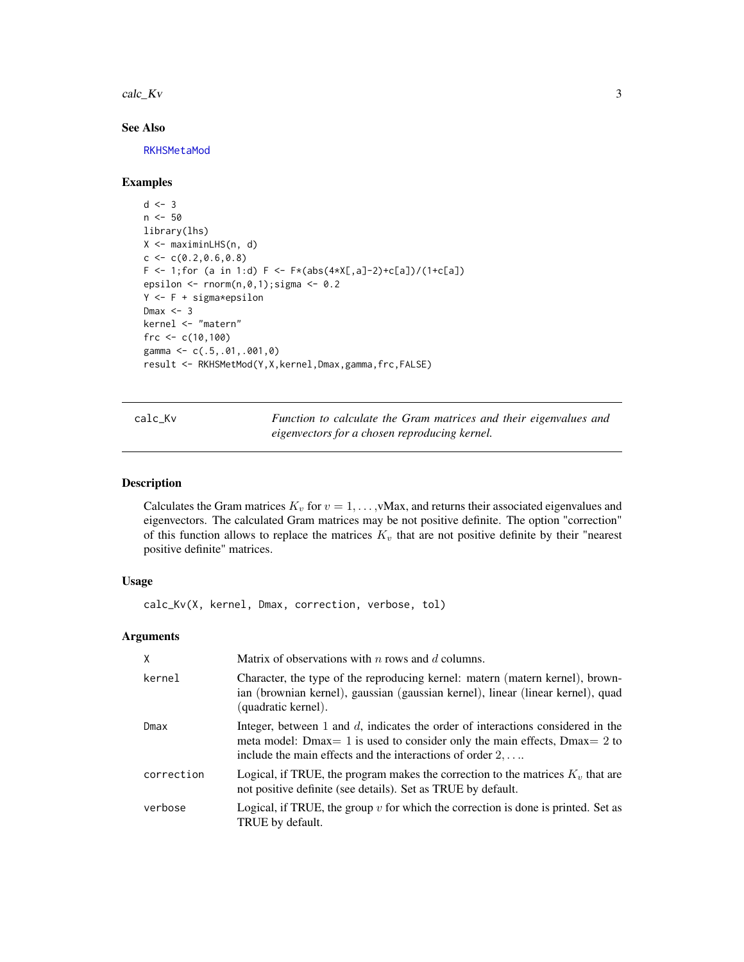<span id="page-2-0"></span> $\text{calc\_Kv}$  3

## See Also

[RKHSMetaMod](#page-1-1)

#### Examples

```
d \leq -3n < -50library(lhs)
X <- maximinLHS(n, d)
c \leq c(0.2, 0.6, 0.8)F \leftarrow 1; for (a in 1:d) F \leftarrow F*(abs(4*X[, a]-2)+c[a])/(1+c[a])epsilon \le rnorm(n,0,1); sigma \le 0.2
Y <- F + sigma*epsilon
Dmax <-3kernel <- "matern"
frc <-c(10,100)gamma <- c(.5,.01,.001,0)
result <- RKHSMetMod(Y,X,kernel,Dmax,gamma,frc,FALSE)
```
<span id="page-2-1"></span>calc\_Kv *Function to calculate the Gram matrices and their eigenvalues and eigenvectors for a chosen reproducing kernel.*

#### Description

Calculates the Gram matrices  $K_v$  for  $v = 1, \dots, v$  Max, and returns their associated eigenvalues and eigenvectors. The calculated Gram matrices may be not positive definite. The option "correction" of this function allows to replace the matrices  $K_v$  that are not positive definite by their "nearest" positive definite" matrices.

## Usage

calc\_Kv(X, kernel, Dmax, correction, verbose, tol)

#### Arguments

| X          | Matrix of observations with $n$ rows and $d$ columns.                                                                                                                                                                                   |
|------------|-----------------------------------------------------------------------------------------------------------------------------------------------------------------------------------------------------------------------------------------|
| kernel     | Character, the type of the reproducing kernel: matern (matern kernel), brown-<br>ian (brownian kernel), gaussian (gaussian kernel), linear (linear kernel), quad<br>(quadratic kernel).                                                 |
| Dmax       | Integer, between 1 and $d$ , indicates the order of interactions considered in the<br>meta model: Dmax = 1 is used to consider only the main effects, Dmax = 2 to<br>include the main effects and the interactions of order $2, \ldots$ |
| correction | Logical, if TRUE, the program makes the correction to the matrices $Kv$ that are<br>not positive definite (see details). Set as TRUE by default.                                                                                        |
| verbose    | Logical, if TRUE, the group $v$ for which the correction is done is printed. Set as<br>TRUE by default.                                                                                                                                 |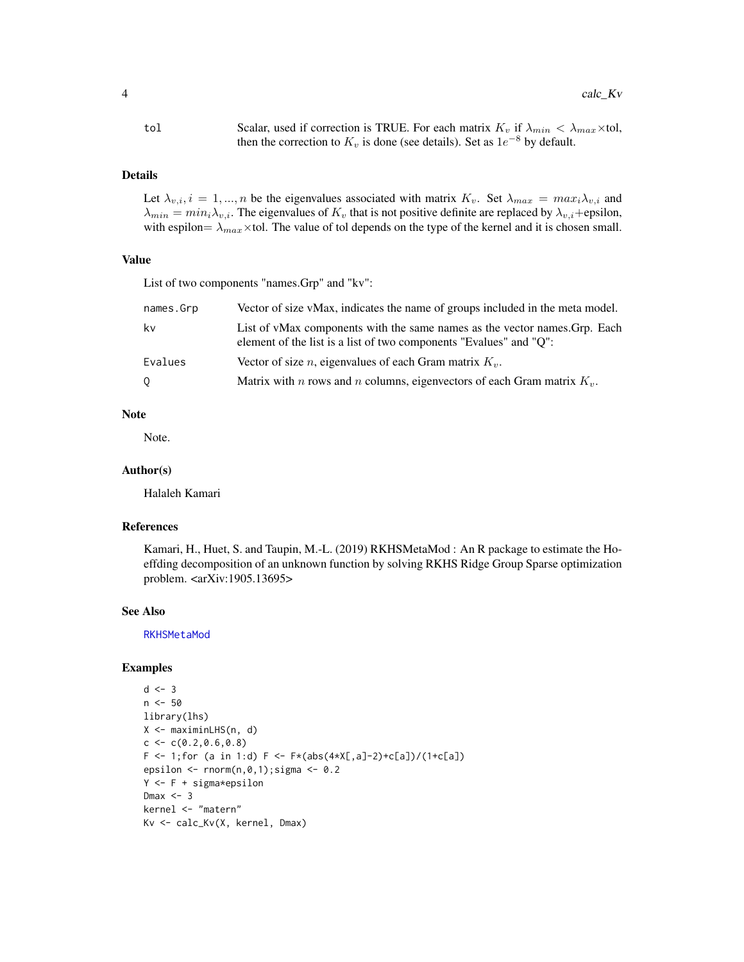<span id="page-3-0"></span>tol Scalar, used if correction is TRUE. For each matrix  $K_v$  if  $\lambda_{min} < \lambda_{max} \times$ tol, then the correction to  $K_v$  is done (see details). Set as  $1e^{-8}$  by default.

#### Details

Let  $\lambda_{v,i}$ ,  $i = 1,...,n$  be the eigenvalues associated with matrix  $K_v$ . Set  $\lambda_{max} = max_i \lambda_{v,i}$  and  $\lambda_{min} = min_i \lambda_{v,i}$ . The eigenvalues of  $K_v$  that is not positive definite are replaced by  $\lambda_{v,i}$ +epsilon, with espilon=  $\lambda_{max}$ ×tol. The value of tol depends on the type of the kernel and it is chosen small.

## Value

List of two components "names.Grp" and "kv":

| names.Grp | Vector of size vMax, indicates the name of groups included in the meta model.                                                                    |
|-----------|--------------------------------------------------------------------------------------------------------------------------------------------------|
| kv        | List of vMax components with the same names as the vector names. Grp. Each<br>element of the list is a list of two components "Evalues" and "O": |
| Evalues   | Vector of size <i>n</i> , eigenvalues of each Gram matrix $K_v$ .                                                                                |
| $\circ$   | Matrix with <i>n</i> rows and <i>n</i> columns, eigenvectors of each Gram matrix $K_v$ .                                                         |

## Note

Note.

#### Author(s)

Halaleh Kamari

#### References

Kamari, H., Huet, S. and Taupin, M.-L. (2019) RKHSMetaMod : An R package to estimate the Hoeffding decomposition of an unknown function by solving RKHS Ridge Group Sparse optimization problem. <arXiv:1905.13695>

#### See Also

[RKHSMetaMod](#page-1-1)

```
d \le -3n < -50library(lhs)
X <- maximinLHS(n, d)
c < -c(0.2, 0.6, 0.8)F \leftarrow 1; for (a in 1:d) F \leftarrow F*(abs(4*X[, a]-2)+c[a])/(1+c[a])epsilon \le - rnorm(n,0,1); sigma \le 0.2
Y <- F + sigma*epsilon
Dmax <-3kernel <- "matern"
Kv <- calc_Kv(X, kernel, Dmax)
```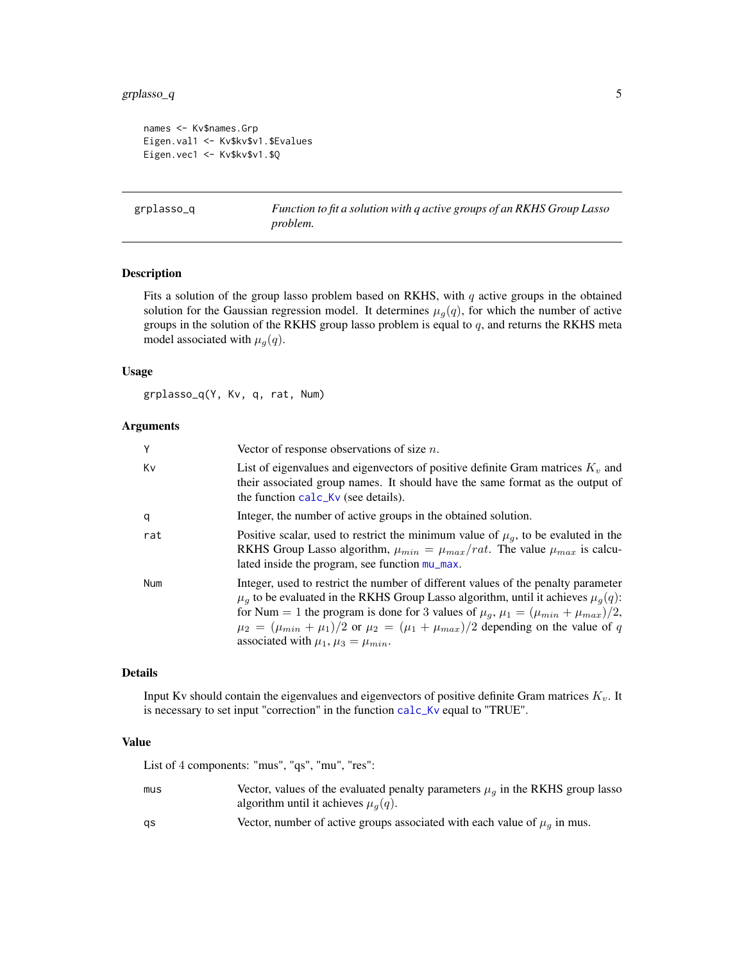## <span id="page-4-0"></span>grplasso\_q 5

```
names <- Kv$names.Grp
Eigen.val1 <- Kv$kv$v1.$Evalues
Eigen.vec1 <- Kv$kv$v1.$Q
```
<span id="page-4-1"></span>grplasso\_q *Function to fit a solution with q active groups of an RKHS Group Lasso problem.*

## Description

Fits a solution of the group lasso problem based on RKHS, with  $q$  active groups in the obtained solution for the Gaussian regression model. It determines  $\mu_g(q)$ , for which the number of active groups in the solution of the RKHS group lasso problem is equal to  $q$ , and returns the RKHS meta model associated with  $\mu_g(q)$ .

#### Usage

grplasso\_q(Y, Kv, q, rat, Num)

## Arguments

| Υ   | Vector of response observations of size $n$ .                                                                                                                                                                                                                                                                                                                                                                                          |
|-----|----------------------------------------------------------------------------------------------------------------------------------------------------------------------------------------------------------------------------------------------------------------------------------------------------------------------------------------------------------------------------------------------------------------------------------------|
| Κv  | List of eigenvalues and eigenvectors of positive definite Gram matrices $Kv$ and<br>their associated group names. It should have the same format as the output of<br>the function calc_Kv (see details).                                                                                                                                                                                                                               |
| q   | Integer, the number of active groups in the obtained solution.                                                                                                                                                                                                                                                                                                                                                                         |
| rat | Positive scalar, used to restrict the minimum value of $\mu_q$ , to be evaluted in the<br>RKHS Group Lasso algorithm, $\mu_{min} = \mu_{max}/rat$ . The value $\mu_{max}$ is calcu-<br>lated inside the program, see function mu_max.                                                                                                                                                                                                  |
| Num | Integer, used to restrict the number of different values of the penalty parameter<br>$\mu_q$ to be evaluated in the RKHS Group Lasso algorithm, until it achieves $\mu_q(q)$ :<br>for Num = 1 the program is done for 3 values of $\mu_g$ , $\mu_1 = (\mu_{min} + \mu_{max})/2$ ,<br>$\mu_2 = (\mu_{min} + \mu_1)/2$ or $\mu_2 = (\mu_1 + \mu_{max})/2$ depending on the value of q<br>associated with $\mu_1$ , $\mu_3 = \mu_{min}$ . |

#### Details

Input Kv should contain the eigenvalues and eigenvectors of positive definite Gram matrices  $K_v$ . It is necessary to set input "correction" in the function [calc\\_Kv](#page-2-1) equal to "TRUE".

## Value

List of 4 components: "mus", "qs", "mu", "res":

| mus | Vector, values of the evaluated penalty parameters $\mu_q$ in the RKHS group lasso |
|-----|------------------------------------------------------------------------------------|
|     | algorithm until it achieves $\mu_q(q)$ .                                           |
| as  | Vector, number of active groups associated with each value of $\mu_a$ in mus.      |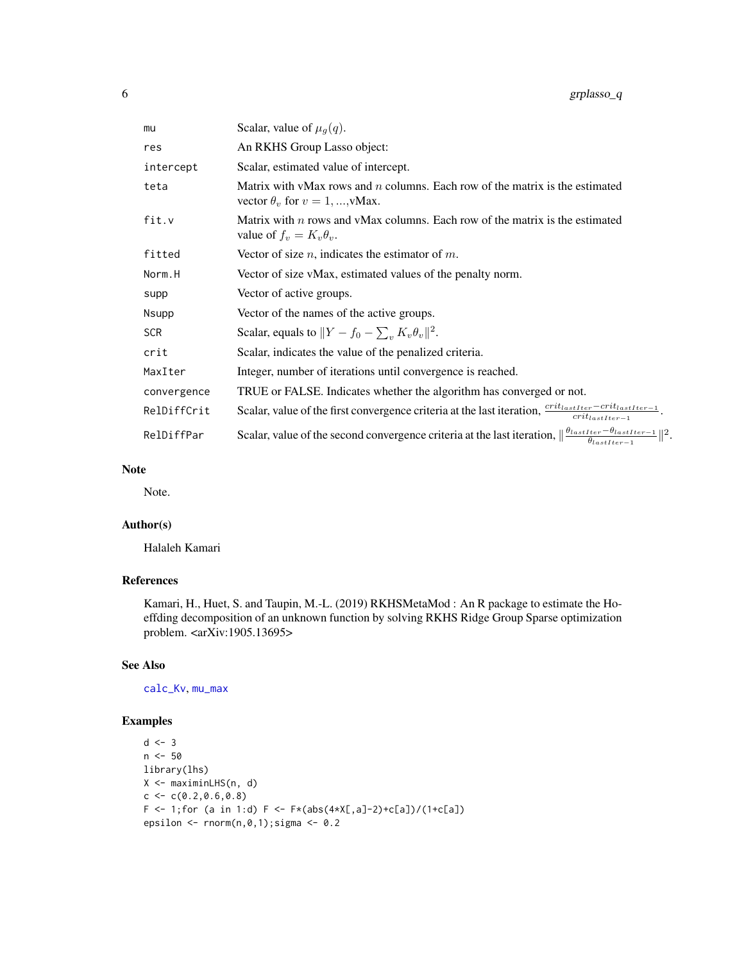$\parallel^2$ .

<span id="page-5-0"></span>

| mu          | Scalar, value of $\mu_q(q)$ .                                                                                                                                |
|-------------|--------------------------------------------------------------------------------------------------------------------------------------------------------------|
| res         | An RKHS Group Lasso object:                                                                                                                                  |
| intercept   | Scalar, estimated value of intercept.                                                                                                                        |
| teta        | Matrix with vMax rows and $n$ columns. Each row of the matrix is the estimated<br>vector $\theta_v$ for $v = 1, , v$ Max.                                    |
| fit.v       | Matrix with $n$ rows and vMax columns. Each row of the matrix is the estimated<br>value of $f_v = K_v \theta_v$ .                                            |
| fitted      | Vector of size $n$ , indicates the estimator of $m$ .                                                                                                        |
| Norm.H      | Vector of size vMax, estimated values of the penalty norm.                                                                                                   |
| supp        | Vector of active groups.                                                                                                                                     |
| Nsupp       | Vector of the names of the active groups.                                                                                                                    |
| <b>SCR</b>  | Scalar, equals to $  Y - f_0 - \sum_{v} K_v \theta_v  ^2$ .                                                                                                  |
| crit        | Scalar, indicates the value of the penalized criteria.                                                                                                       |
| MaxIter     | Integer, number of iterations until convergence is reached.                                                                                                  |
| convergence | TRUE or FALSE. Indicates whether the algorithm has converged or not.                                                                                         |
| RelDiffCrit | Scalar, value of the first convergence criteria at the last iteration, $\frac{crit_{lastIter} - crit_{lastIter}-1}{crit_{lastIter}-1}$ .                     |
| RelDiffPar  | Scalar, value of the second convergence criteria at the last iteration, $\left\ \frac{\theta_{lastIter}-\theta_{lastIter-1}}{\theta_{lastIter}-1}\right\ ^2$ |

## Note

Note.

## Author(s)

Halaleh Kamari

## References

Kamari, H., Huet, S. and Taupin, M.-L. (2019) RKHSMetaMod : An R package to estimate the Hoeffding decomposition of an unknown function by solving RKHS Ridge Group Sparse optimization problem. <arXiv:1905.13695>

## See Also

[calc\\_Kv](#page-2-1), [mu\\_max](#page-6-1)

```
d \leq -3n < -50library(lhs)
X <- maximinLHS(n, d)
c < -c(0.2, 0.6, 0.8)F <- 1; for (a in 1:d) F <- F*(abs(4*X[, a]-2)+c[a])/(1+c[a])epsilon \leq rnorm(n, 0, 1); sigma \leq 0.2
```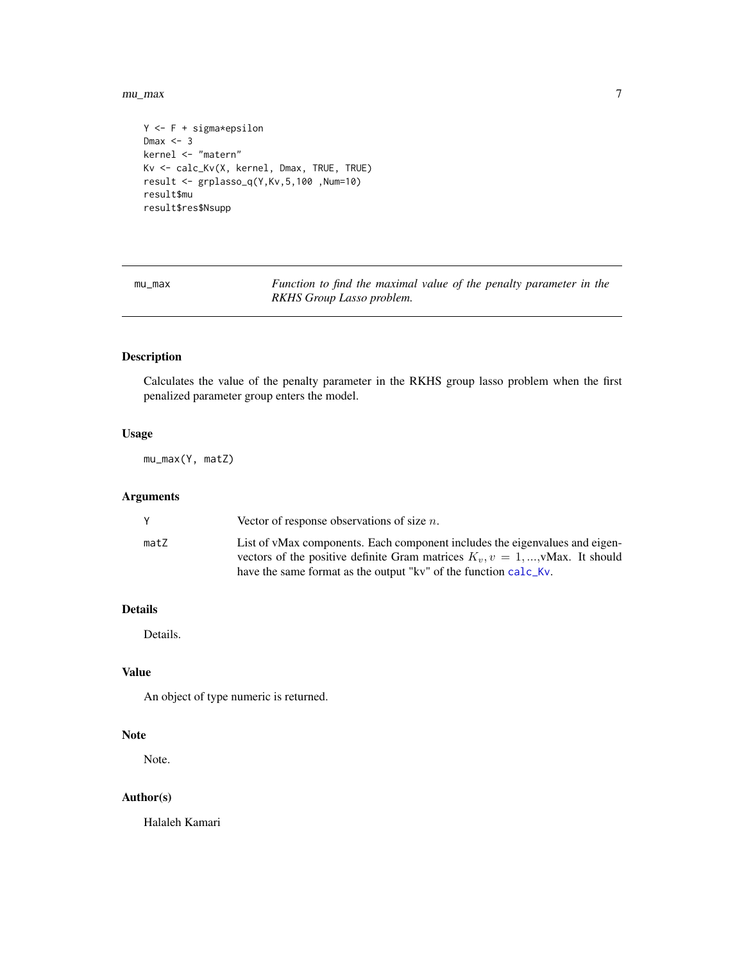<span id="page-6-0"></span> $mu_{\perp}$  max  $\frac{1}{2}$  max  $\frac{1}{2}$  music  $\frac{1}{2}$  music  $\frac{1}{2}$  music  $\frac{1}{2}$  max  $\frac{1}{2}$  music  $\frac{1}{2}$  music  $\frac{1}{2}$  music  $\frac{1}{2}$  music  $\frac{1}{2}$  music  $\frac{1}{2}$  music  $\frac{1}{2}$  music  $\frac{1}{2}$  music  $\frac{$ 

```
Y <- F + sigma*epsilon
Dmax <-3kernel <- "matern"
Kv <- calc_Kv(X, kernel, Dmax, TRUE, TRUE)
result <- grplasso_q(Y,Kv,5,100 ,Num=10)
result$mu
result$res$Nsupp
```
<span id="page-6-1"></span>mu\_max *Function to find the maximal value of the penalty parameter in the RKHS Group Lasso problem.*

## Description

Calculates the value of the penalty parameter in the RKHS group lasso problem when the first penalized parameter group enters the model.

## Usage

mu\_max(Y, matZ)

#### Arguments

|      | Vector of response observations of size $n$ .                                                                                                       |
|------|-----------------------------------------------------------------------------------------------------------------------------------------------------|
| matZ | List of vMax components. Each component includes the eigenvalues and eigen-                                                                         |
|      | vectors of the positive definite Gram matrices $K_v$ , $v = 1,,$ Max. It should<br>have the same format as the output "kv" of the function calc_Kv. |
|      |                                                                                                                                                     |

## Details

Details.

## Value

An object of type numeric is returned.

#### Note

Note.

## Author(s)

Halaleh Kamari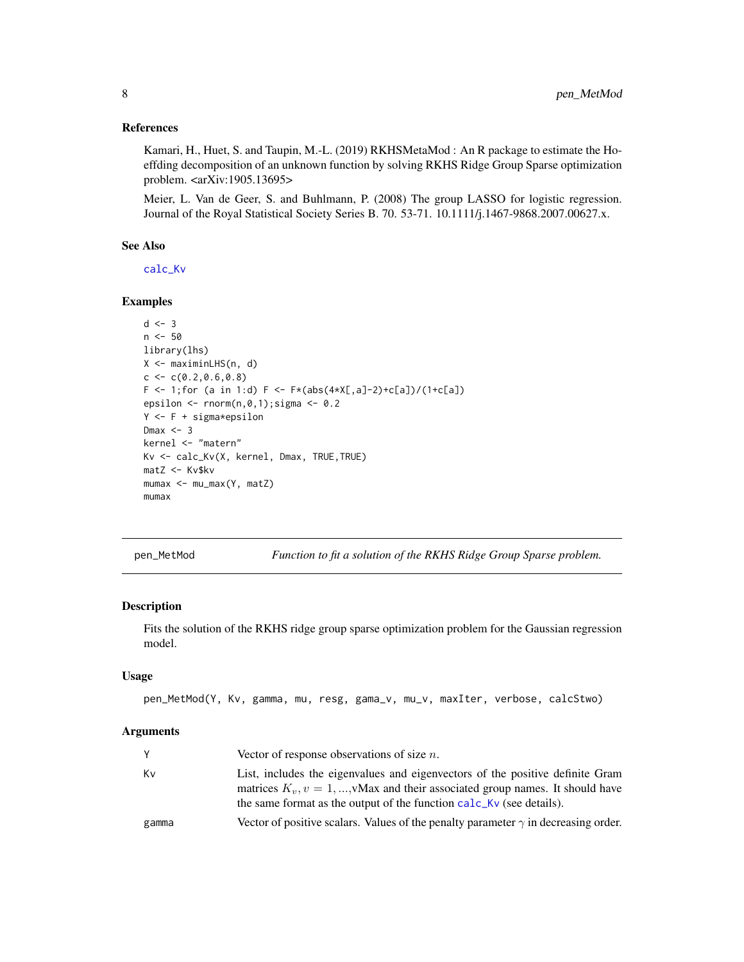#### <span id="page-7-0"></span>References

Kamari, H., Huet, S. and Taupin, M.-L. (2019) RKHSMetaMod : An R package to estimate the Hoeffding decomposition of an unknown function by solving RKHS Ridge Group Sparse optimization problem. <arXiv:1905.13695>

Meier, L. Van de Geer, S. and Buhlmann, P. (2008) The group LASSO for logistic regression. Journal of the Royal Statistical Society Series B. 70. 53-71. 10.1111/j.1467-9868.2007.00627.x.

#### See Also

[calc\\_Kv](#page-2-1)

#### Examples

```
d \le -3n < -50library(lhs)
X <- maximinLHS(n, d)
c \leq c(0.2, 0.6, 0.8)F \leftarrow 1; for (a in 1:d) F \leftarrow F*(abs(4*X[, a]-2)+c[a])/(1+c[a])epsilon \le rnorm(n, 0, 1); sigma \le 0.2
Y \leq -F + \text{sigma*epsilon}Dmax \leq -3kernel <- "matern"
Kv <- calc_Kv(X, kernel, Dmax, TRUE,TRUE)
matZ <- Kv$kv
mumax <- mu_max(Y, matZ)
mumax
```
<span id="page-7-1"></span>pen\_MetMod *Function to fit a solution of the RKHS Ridge Group Sparse problem.*

## Description

Fits the solution of the RKHS ridge group sparse optimization problem for the Gaussian regression model.

## Usage

```
pen_MetMod(Y, Kv, gamma, mu, resg, gama_v, mu_v, maxIter, verbose, calcStwo)
```
#### **Arguments**

| Y     | Vector of response observations of size $n$ .                                                                                                                                                                                            |
|-------|------------------------------------------------------------------------------------------------------------------------------------------------------------------------------------------------------------------------------------------|
| Κv    | List, includes the eigenvalues and eigenvectors of the positive definite Gram<br>matrices $K_n$ , $v = 1,,$ Max and their associated group names. It should have<br>the same format as the output of the function calc_Kv (see details). |
| gamma | Vector of positive scalars. Values of the penalty parameter $\gamma$ in decreasing order.                                                                                                                                                |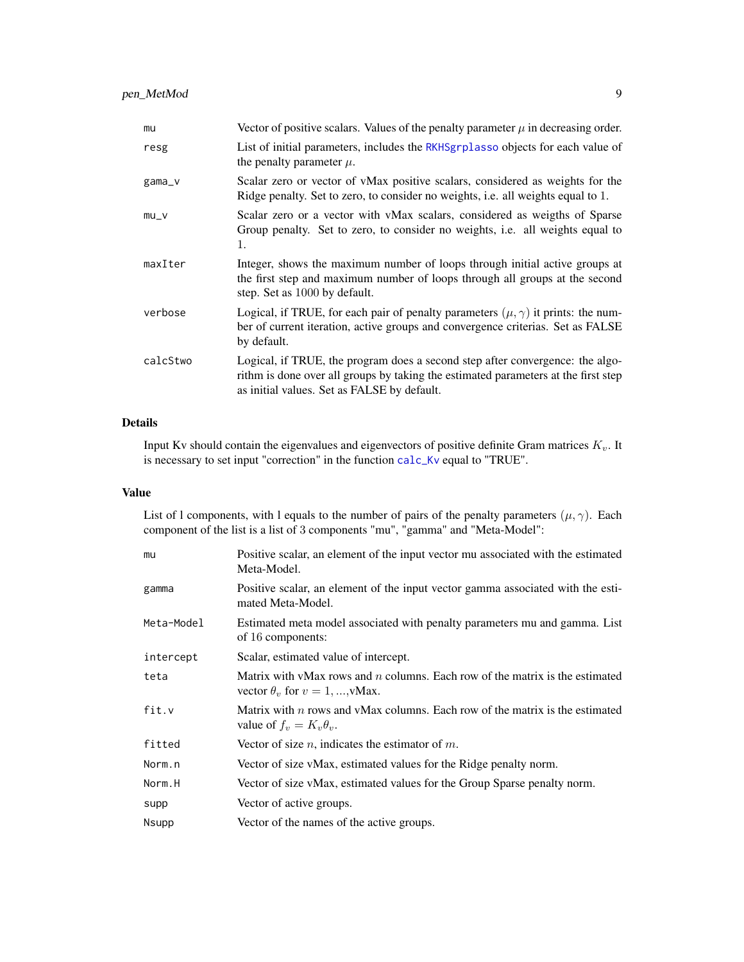<span id="page-8-0"></span>

| mu        | Vector of positive scalars. Values of the penalty parameter $\mu$ in decreasing order.                                                                                                                             |
|-----------|--------------------------------------------------------------------------------------------------------------------------------------------------------------------------------------------------------------------|
| resg      | List of initial parameters, includes the RKHSgrplasso objects for each value of<br>the penalty parameter $\mu$ .                                                                                                   |
| $gamma_v$ | Scalar zero or vector of vMax positive scalars, considered as weights for the<br>Ridge penalty. Set to zero, to consider no weights, i.e. all weights equal to 1.                                                  |
| $mu_v$    | Scalar zero or a vector with vMax scalars, considered as weigths of Sparse<br>Group penalty. Set to zero, to consider no weights, i.e. all weights equal to<br>1.                                                  |
| maxIter   | Integer, shows the maximum number of loops through initial active groups at<br>the first step and maximum number of loops through all groups at the second<br>step. Set as 1000 by default.                        |
| verbose   | Logical, if TRUE, for each pair of penalty parameters $(\mu, \gamma)$ it prints: the num-<br>ber of current iteration, active groups and convergence criterias. Set as FALSE<br>by default.                        |
| calcStwo  | Logical, if TRUE, the program does a second step after convergence: the algo-<br>rithm is done over all groups by taking the estimated parameters at the first step<br>as initial values. Set as FALSE by default. |

## Details

Input Kv should contain the eigenvalues and eigenvectors of positive definite Gram matrices  $K_v$ . It is necessary to set input "correction" in the function [calc\\_Kv](#page-2-1) equal to "TRUE".

## Value

List of l components, with l equals to the number of pairs of the penalty parameters  $(\mu, \gamma)$ . Each component of the list is a list of 3 components "mu", "gamma" and "Meta-Model":

| mu           | Positive scalar, an element of the input vector mu associated with the estimated<br>Meta-Model.                           |
|--------------|---------------------------------------------------------------------------------------------------------------------------|
| gamma        | Positive scalar, an element of the input vector gamma associated with the esti-<br>mated Meta-Model.                      |
| Meta-Model   | Estimated meta model associated with penalty parameters mu and gamma. List<br>of 16 components:                           |
| intercept    | Scalar, estimated value of intercept.                                                                                     |
| teta         | Matrix with vMax rows and $n$ columns. Each row of the matrix is the estimated<br>vector $\theta_v$ for $v = 1, , v$ Max. |
| fit.v        | Matrix with $n$ rows and vMax columns. Each row of the matrix is the estimated<br>value of $f_v = K_v \theta_v$ .         |
| fitted       | Vector of size $n$ , indicates the estimator of $m$ .                                                                     |
| Norm.n       | Vector of size vMax, estimated values for the Ridge penalty norm.                                                         |
| Norm.H       | Vector of size vMax, estimated values for the Group Sparse penalty norm.                                                  |
| supp         | Vector of active groups.                                                                                                  |
| <b>Nsupp</b> | Vector of the names of the active groups.                                                                                 |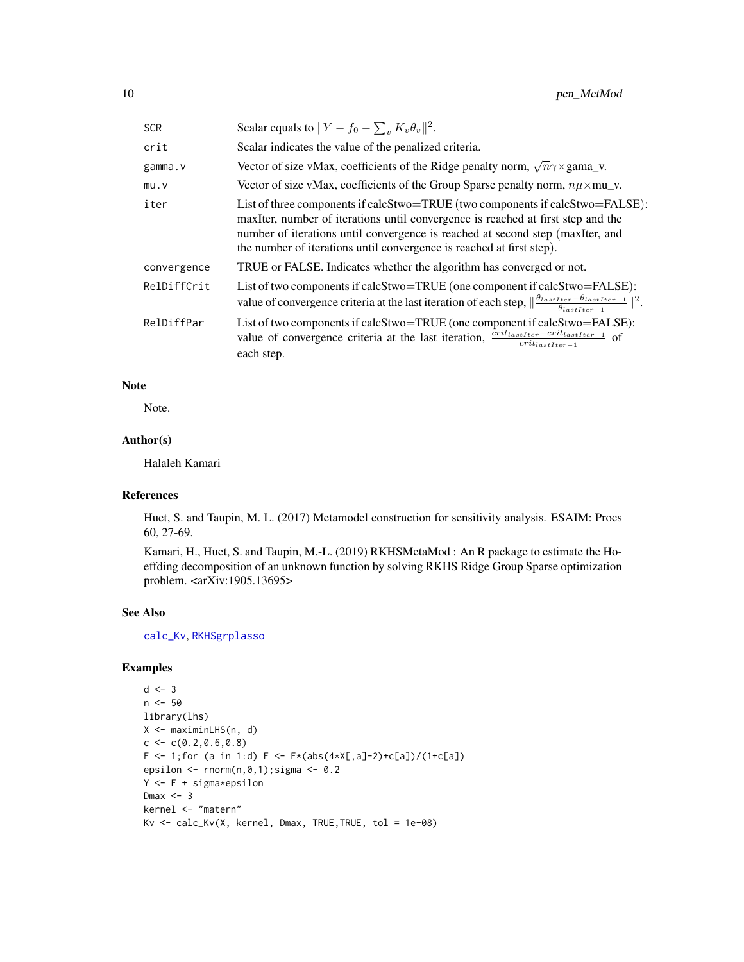<span id="page-9-0"></span>

| <b>SCR</b>  | Scalar equals to $  Y - f_0 - \sum_{v} K_v \theta_v  ^2$ .                                                                                                                                                                                                                                                                   |
|-------------|------------------------------------------------------------------------------------------------------------------------------------------------------------------------------------------------------------------------------------------------------------------------------------------------------------------------------|
| crit        | Scalar indicates the value of the penalized criteria.                                                                                                                                                                                                                                                                        |
| gamma.v     | Vector of size vMax, coefficients of the Ridge penalty norm, $\sqrt{n}\gamma \times \text{gamma}_N$ .                                                                                                                                                                                                                        |
| mu.v        | Vector of size vMax, coefficients of the Group Sparse penalty norm, $n\mu \times m$ u_v.                                                                                                                                                                                                                                     |
| iter        | List of three components if calcStwo=TRUE (two components if calcStwo=FALSE):<br>maxIter, number of iterations until convergence is reached at first step and the<br>number of iterations until convergence is reached at second step (maxIter, and<br>the number of iterations until convergence is reached at first step). |
| convergence | TRUE or FALSE. Indicates whether the algorithm has converged or not.                                                                                                                                                                                                                                                         |
| RelDiffCrit | List of two components if calcStwo=TRUE (one component if calcStwo=FALSE):<br>value of convergence criteria at the last iteration of each step, $\ \frac{\theta_{lastIter}-\theta_{lastIter}-1}{\theta_{testIter}-1}\ ^2$ .                                                                                                  |
| RelDiffPar  | List of two components if calcStwo=TRUE (one component if calcStwo=FALSE):<br>value of convergence criteria at the last iteration, $\frac{crit_{lastIter} - crit_{lastIter}-1}{crit_{testIter}-1}$ of<br>each step.                                                                                                          |

## Note

Note.

## Author(s)

Halaleh Kamari

## References

Huet, S. and Taupin, M. L. (2017) Metamodel construction for sensitivity analysis. ESAIM: Procs 60, 27-69.

Kamari, H., Huet, S. and Taupin, M.-L. (2019) RKHSMetaMod : An R package to estimate the Hoeffding decomposition of an unknown function by solving RKHS Ridge Group Sparse optimization problem. <arXiv:1905.13695>

#### See Also

[calc\\_Kv](#page-2-1), [RKHSgrplasso](#page-12-1)

```
d \le -3n <- 50
library(lhs)
X <- maximinLHS(n, d)
c \leq -c(0.2, 0.6, 0.8)F \leftarrow 1; for (a in 1:d) F \leftarrow F*(abs(4*X[, a]-2)+c[a])/(1+c[a])epsilon \leq rnorm(n, 0, 1); sigma \leq 0.2
Y <- F + sigma*epsilon
Dmax <-3kernel <- "matern"
Kv \le calc_Kv(X, kernel, Dmax, TRUE, TRUE, tol = 1e-08)
```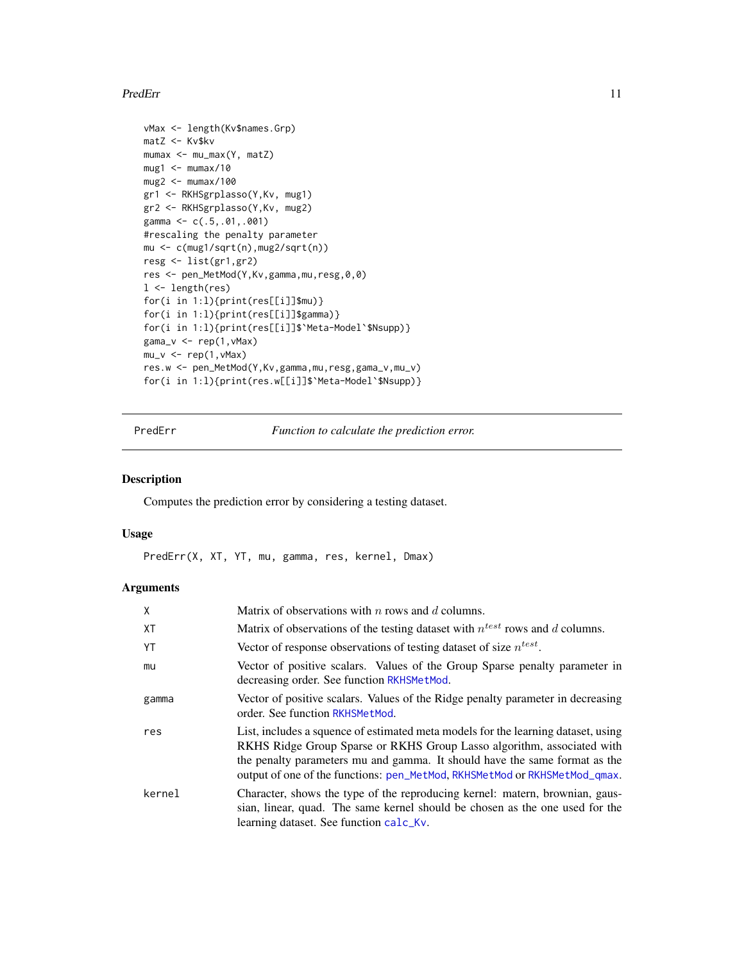#### <span id="page-10-0"></span>PredErr 11

```
vMax <- length(Kv$names.Grp)
matZ <- Kv$kv
mumax <- mu_max(Y, matZ)
mug1 < - mumax/10mug2 < - mumax/100
gr1 <- RKHSgrplasso(Y,Kv, mug1)
gr2 <- RKHSgrplasso(Y,Kv, mug2)
gamma <- c(.5,.01,.001)
#rescaling the penalty parameter
mu <- c(mug1/sqrt(n),mug2/sqrt(n))
resg <- list(gr1,gr2)
res <- pen_MetMod(Y,Kv,gamma,mu,resg,0,0)
1 <- length(res)
for(i in 1:l){print(res[[i]]$mu)}
for(i in 1:l){print(res[[i]]$gamma)}
for(i in 1:l){print(res[[i]]$`Meta-Model`$Nsupp)}
gama_v <- rep(1,vMax)
mu_v < - rep(1, vMax)res.w <- pen_MetMod(Y,Kv,gamma,mu,resg,gama_v,mu_v)
for(i in 1:l){print(res.w[[i]]$`Meta-Model`$Nsupp)}
```
<span id="page-10-1"></span>PredErr *Function to calculate the prediction error.*

#### Description

Computes the prediction error by considering a testing dataset.

## Usage

PredErr(X, XT, YT, mu, gamma, res, kernel, Dmax)

## Arguments

| Χ         | Matrix of observations with $n$ rows and $d$ columns.                                                                                                                                                                                                                                                                   |
|-----------|-------------------------------------------------------------------------------------------------------------------------------------------------------------------------------------------------------------------------------------------------------------------------------------------------------------------------|
| <b>XT</b> | Matrix of observations of the testing dataset with $n^{test}$ rows and d columns.                                                                                                                                                                                                                                       |
| YT        | Vector of response observations of testing dataset of size $n^{test}$ .                                                                                                                                                                                                                                                 |
| mu        | Vector of positive scalars. Values of the Group Sparse penalty parameter in<br>decreasing order. See function RKHSMetMod.                                                                                                                                                                                               |
| gamma     | Vector of positive scalars. Values of the Ridge penalty parameter in decreasing<br>order. See function RKHSMetMod.                                                                                                                                                                                                      |
| res       | List, includes a squence of estimated meta models for the learning dataset, using<br>RKHS Ridge Group Sparse or RKHS Group Lasso algorithm, associated with<br>the penalty parameters mu and gamma. It should have the same format as the<br>output of one of the functions: pen_MetMod, RKHSMetMod or RKHSMetMod_qmax. |
| kernel    | Character, shows the type of the reproducing kernel: matern, brownian, gaus-<br>sian, linear, quad. The same kernel should be chosen as the one used for the<br>learning dataset. See function calc_Kv.                                                                                                                 |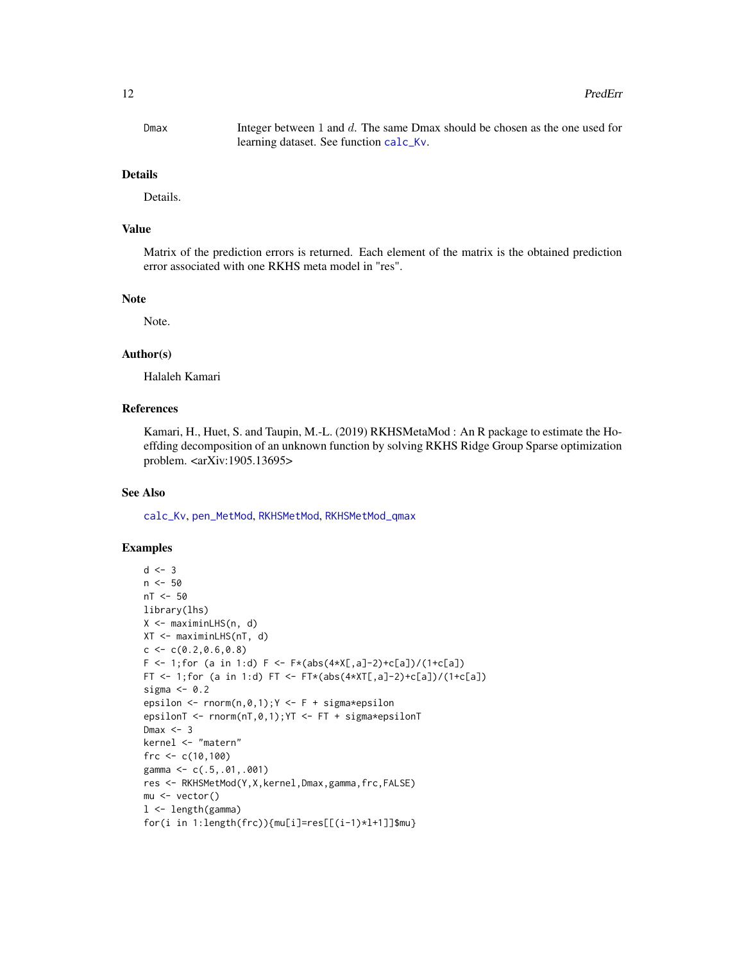#### <span id="page-11-0"></span>12 PredErr

Dmax Integer between 1 and d. The same Dmax should be chosen as the one used for learning dataset. See function [calc\\_Kv](#page-2-1).

#### Details

Details.

## Value

Matrix of the prediction errors is returned. Each element of the matrix is the obtained prediction error associated with one RKHS meta model in "res".

#### **Note**

Note.

## Author(s)

Halaleh Kamari

## References

Kamari, H., Huet, S. and Taupin, M.-L. (2019) RKHSMetaMod : An R package to estimate the Hoeffding decomposition of an unknown function by solving RKHS Ridge Group Sparse optimization problem. <arXiv:1905.13695>

#### See Also

[calc\\_Kv](#page-2-1), [pen\\_MetMod](#page-7-1), [RKHSMetMod](#page-14-1), [RKHSMetMod\\_qmax](#page-16-1)

```
d \leq -3n <- 50
nT <- 50
library(lhs)
X <- maximinLHS(n, d)
XT <- maximinLHS(nT, d)
c \leq c(0.2, 0.6, 0.8)F <- 1; for (a in 1:d) F <- F*(abs(4*X[, a]-2)+c[a])/(1+c[a])FT <- 1; for (a in 1:d) FT <- FT*(abs(4*XT[,a]-2)+c[a])/(1+c[a])sigma <-0.2epsilon \leq rnorm(n,0,1); Y \leq F + \text{sigma*epsilon}epsilonT <- rnorm(nT,0,1);YT <- FT + sigma*epsilonT
Dmax <-3kernel <- "matern"
frc <-c(10,100)gamma <- c(.5,.01,.001)
res <- RKHSMetMod(Y,X,kernel,Dmax,gamma,frc,FALSE)
mu <- vector()
l <- length(gamma)
for(i in 1:length(frc)){mu[i]=res[[(i-1)*l+1]]$mu}
```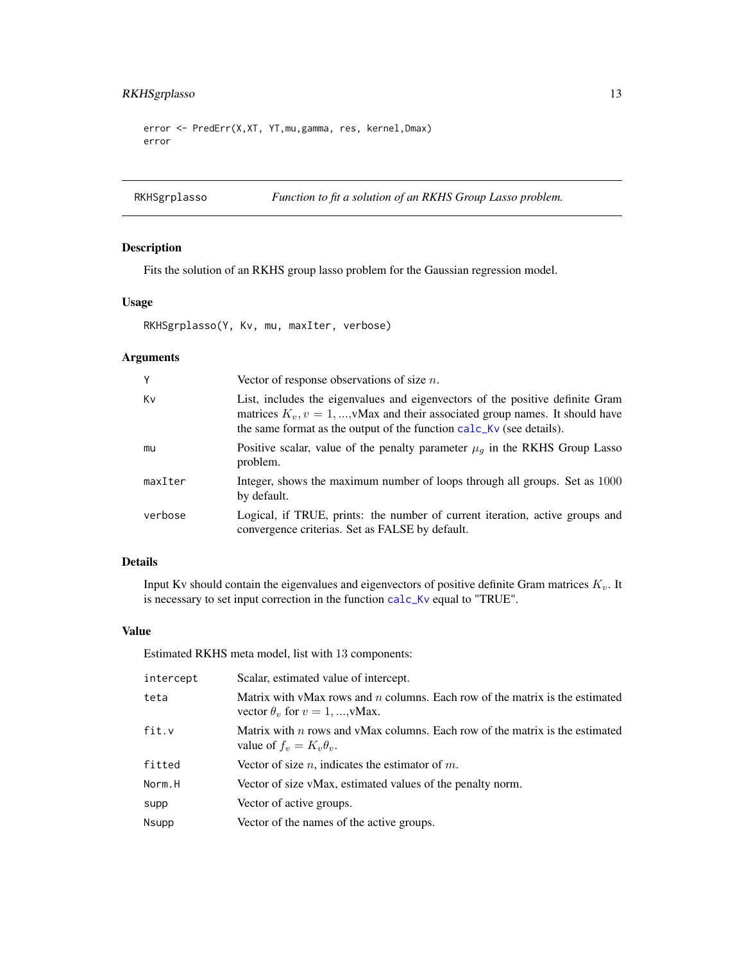## <span id="page-12-0"></span>RKHSgrplasso 13

```
error <- PredErr(X,XT, YT,mu,gamma, res, kernel,Dmax)
error
```

```
RKHSgrplasso Function to fit a solution of an RKHS Group Lasso problem.
```
## Description

Fits the solution of an RKHS group lasso problem for the Gaussian regression model.

## Usage

RKHSgrplasso(Y, Kv, mu, maxIter, verbose)

## Arguments

| Y       | Vector of response observations of size $n$ .                                                                                                                                                                                             |
|---------|-------------------------------------------------------------------------------------------------------------------------------------------------------------------------------------------------------------------------------------------|
| Kv      | List, includes the eigenvalues and eigenvectors of the positive definite Gram<br>matrices $K_v$ , $v = 1,,v$ Max and their associated group names. It should have<br>the same format as the output of the function calc_Kv (see details). |
| mu      | Positive scalar, value of the penalty parameter $\mu_q$ in the RKHS Group Lasso<br>problem.                                                                                                                                               |
| maxIter | Integer, shows the maximum number of loops through all groups. Set as 1000<br>by default.                                                                                                                                                 |
| verbose | Logical, if TRUE, prints: the number of current iteration, active groups and<br>convergence criterias. Set as FALSE by default.                                                                                                           |

## Details

Input Kv should contain the eigenvalues and eigenvectors of positive definite Gram matrices  $K_v$ . It is necessary to set input correction in the function [calc\\_Kv](#page-2-1) equal to "TRUE".

#### Value

Estimated RKHS meta model, list with 13 components:

| intercept | Scalar, estimated value of intercept.                                                                                     |
|-----------|---------------------------------------------------------------------------------------------------------------------------|
| teta      | Matrix with vMax rows and $n$ columns. Each row of the matrix is the estimated<br>vector $\theta_v$ for $v = 1, , v$ Max. |
| fit.v     | Matrix with $n$ rows and vMax columns. Each row of the matrix is the estimated<br>value of $f_v = K_v \theta_v$ .         |
| fitted    | Vector of size n, indicates the estimator of m.                                                                           |
| Norm.H    | Vector of size vMax, estimated values of the penalty norm.                                                                |
| supp      | Vector of active groups.                                                                                                  |
| Nsupp     | Vector of the names of the active groups.                                                                                 |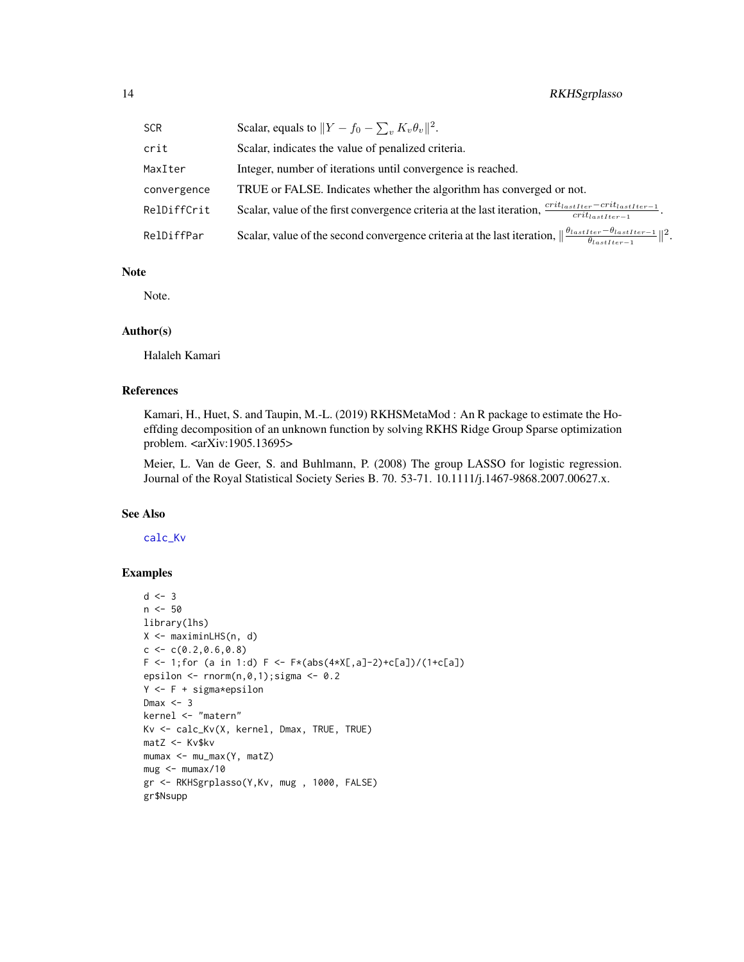| <b>SCR</b>  | Scalar, equals to $  Y - f_0 - \sum_{v} K_v \theta_v  ^2$ .                                                                                           |
|-------------|-------------------------------------------------------------------------------------------------------------------------------------------------------|
| crit        | Scalar, indicates the value of penalized criteria.                                                                                                    |
| MaxIter     | Integer, number of iterations until convergence is reached.                                                                                           |
| convergence | TRUE or FALSE. Indicates whether the algorithm has converged or not.                                                                                  |
| RelDiffCrit | Scalar, value of the first convergence criteria at the last iteration, $\frac{crit_{lastIter} - crit_{lastIter}-1}{crit_{lastIter}-1}$ .              |
| RelDiffPar  | Scalar, value of the second convergence criteria at the last iteration, $\ \frac{\theta_{lastIter} - \theta_{lastIter-1}}{\theta_{lastIter-1}}\ ^2$ . |

#### Note

Note.

## Author(s)

Halaleh Kamari

#### References

Kamari, H., Huet, S. and Taupin, M.-L. (2019) RKHSMetaMod : An R package to estimate the Hoeffding decomposition of an unknown function by solving RKHS Ridge Group Sparse optimization problem. <arXiv:1905.13695>

Meier, L. Van de Geer, S. and Buhlmann, P. (2008) The group LASSO for logistic regression. Journal of the Royal Statistical Society Series B. 70. 53-71. 10.1111/j.1467-9868.2007.00627.x.

## See Also

[calc\\_Kv](#page-2-1)

```
d \leq -3n <- 50
library(lhs)
X <- maximinLHS(n, d)
c \leq c(0.2, 0.6, 0.8)F \leftarrow 1; for (a in 1:d) F \leftarrow F*(abs(4*X[, a]-2)+c[a])/(1+c[a])epsilon \le rnorm(n, 0, 1); sigma \le 0.2
Y <- F + sigma*epsilon
Dmax <-3kernel <- "matern"
Kv <- calc_Kv(X, kernel, Dmax, TRUE, TRUE)
matZ <- Kv$kv
mumax <- mu_max(Y, matZ)
mug < - mumax/10gr <- RKHSgrplasso(Y,Kv, mug , 1000, FALSE)
gr$Nsupp
```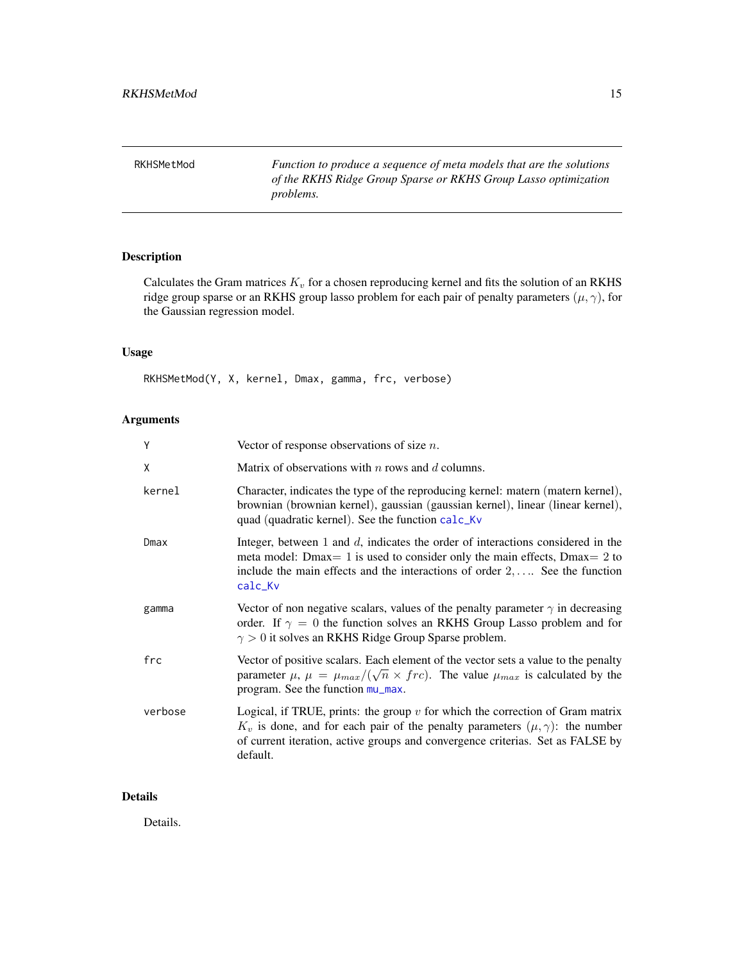<span id="page-14-1"></span><span id="page-14-0"></span>RKHSMetMod *Function to produce a sequence of meta models that are the solutions of the RKHS Ridge Group Sparse or RKHS Group Lasso optimization problems.*

## Description

Calculates the Gram matrices  $K_v$  for a chosen reproducing kernel and fits the solution of an RKHS ridge group sparse or an RKHS group lasso problem for each pair of penalty parameters  $(\mu, \gamma)$ , for the Gaussian regression model.

#### Usage

RKHSMetMod(Y, X, kernel, Dmax, gamma, frc, verbose)

## Arguments

| Υ       | Vector of response observations of size $n$ .                                                                                                                                                                                                                            |
|---------|--------------------------------------------------------------------------------------------------------------------------------------------------------------------------------------------------------------------------------------------------------------------------|
| Χ       | Matrix of observations with $n$ rows and $d$ columns.                                                                                                                                                                                                                    |
| kernel  | Character, indicates the type of the reproducing kernel: matern (matern kernel),<br>brownian (brownian kernel), gaussian (gaussian kernel), linear (linear kernel),<br>quad (quadratic kernel). See the function calc_Kv                                                 |
| Dmax    | Integer, between $1$ and $d$ , indicates the order of interactions considered in the<br>meta model: Dmax= 1 is used to consider only the main effects, Dmax= 2 to<br>include the main effects and the interactions of order $2, \ldots$ . See the function<br>calc_Kv    |
| gamma   | Vector of non negative scalars, values of the penalty parameter $\gamma$ in decreasing<br>order. If $\gamma = 0$ the function solves an RKHS Group Lasso problem and for<br>$\gamma > 0$ it solves an RKHS Ridge Group Sparse problem.                                   |
| frc     | Vector of positive scalars. Each element of the vector sets a value to the penalty<br>parameter $\mu$ , $\mu = \mu_{max}/(\sqrt{n} \times frc)$ . The value $\mu_{max}$ is calculated by the<br>program. See the function mu_max.                                        |
| verbose | Logical, if TRUE, prints: the group $v$ for which the correction of Gram matrix<br>$K_v$ is done, and for each pair of the penalty parameters $(\mu, \gamma)$ : the number<br>of current iteration, active groups and convergence criterias. Set as FALSE by<br>default. |

## Details

Details.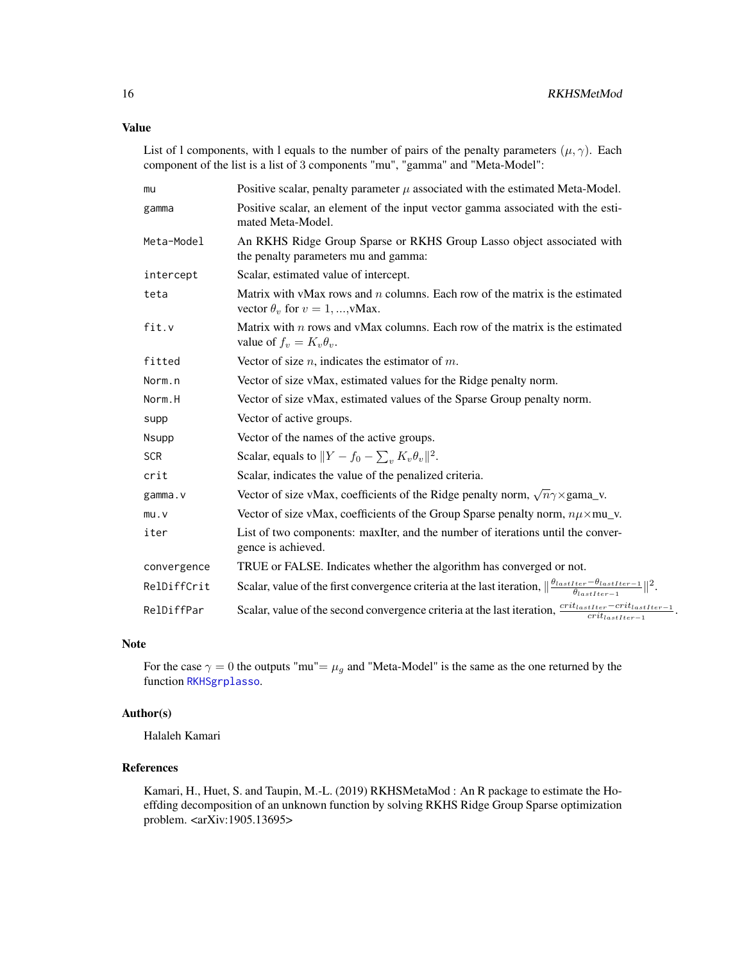<span id="page-15-0"></span>List of l components, with l equals to the number of pairs of the penalty parameters  $(\mu, \gamma)$ . Each component of the list is a list of 3 components "mu", "gamma" and "Meta-Model":

| mu           | Positive scalar, penalty parameter $\mu$ associated with the estimated Meta-Model.                                                                 |
|--------------|----------------------------------------------------------------------------------------------------------------------------------------------------|
| gamma        | Positive scalar, an element of the input vector gamma associated with the esti-<br>mated Meta-Model.                                               |
| Meta-Model   | An RKHS Ridge Group Sparse or RKHS Group Lasso object associated with<br>the penalty parameters mu and gamma:                                      |
| intercept    | Scalar, estimated value of intercept.                                                                                                              |
| teta         | Matrix with vMax rows and $n$ columns. Each row of the matrix is the estimated<br>vector $\theta_v$ for $v = 1, , v$ Max.                          |
| fit.v        | Matrix with $n$ rows and vMax columns. Each row of the matrix is the estimated<br>value of $f_v = K_v \theta_v$ .                                  |
| fitted       | Vector of size $n$ , indicates the estimator of $m$ .                                                                                              |
| Norm.n       | Vector of size vMax, estimated values for the Ridge penalty norm.                                                                                  |
| Norm.H       | Vector of size vMax, estimated values of the Sparse Group penalty norm.                                                                            |
| supp         | Vector of active groups.                                                                                                                           |
| <b>Nsupp</b> | Vector of the names of the active groups.                                                                                                          |
| <b>SCR</b>   | Scalar, equals to $  Y - f_0 - \sum_v K_v \theta_v  ^2$ .                                                                                          |
| crit         | Scalar, indicates the value of the penalized criteria.                                                                                             |
| gamma.v      | Vector of size vMax, coefficients of the Ridge penalty norm, $\sqrt{n}\gamma \times \text{gamma}_N$ .                                              |
| mu.v         | Vector of size vMax, coefficients of the Group Sparse penalty norm, $n\mu \times m$ u_v.                                                           |
| iter         | List of two components: maxIter, and the number of iterations until the conver-<br>gence is achieved.                                              |
| convergence  | TRUE or FALSE. Indicates whether the algorithm has converged or not.                                                                               |
| RelDiffCrit  | Scalar, value of the first convergence criteria at the last iteration, $\ \frac{\theta_{lastIter}-\theta_{lastIter}-1}{\theta_{lastIter}-1}\ ^2$ . |
| RelDiffPar   | Scalar, value of the second convergence criteria at the last iteration, $\frac{crit_{lastIter} - crit_{lastIter}-1}{crit_{lastIter}-1}$ .          |

#### Note

For the case  $\gamma = 0$  the outputs "mu"=  $\mu_g$  and "Meta-Model" is the same as the one returned by the function [RKHSgrplasso](#page-12-1).

#### Author(s)

Halaleh Kamari

#### References

Kamari, H., Huet, S. and Taupin, M.-L. (2019) RKHSMetaMod : An R package to estimate the Hoeffding decomposition of an unknown function by solving RKHS Ridge Group Sparse optimization problem. <arXiv:1905.13695>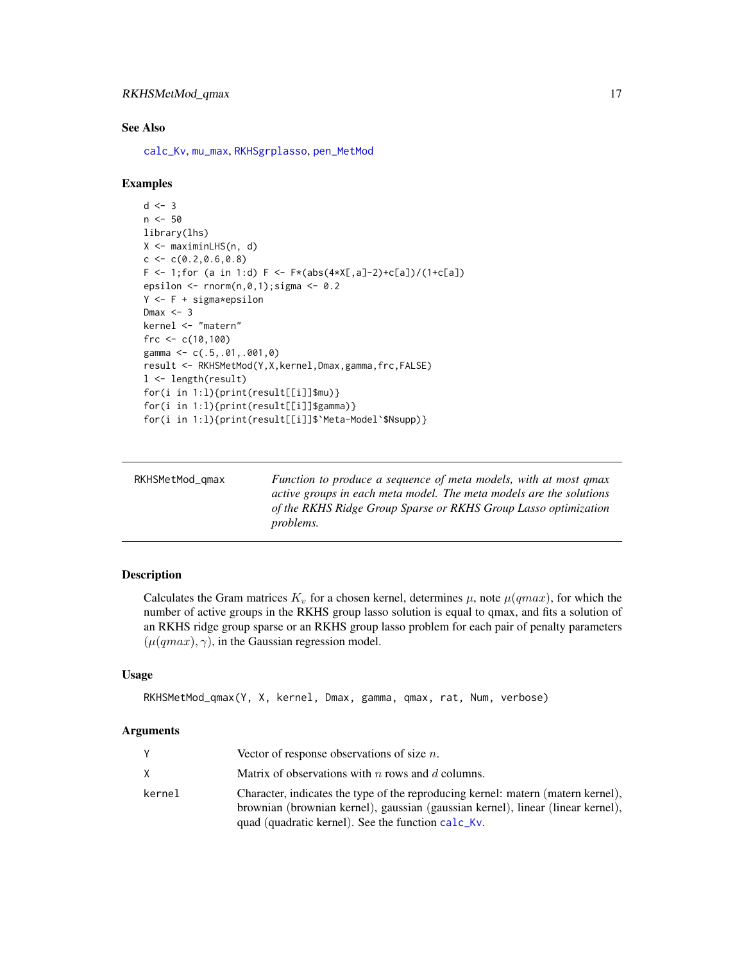#### <span id="page-16-0"></span>See Also

[calc\\_Kv](#page-2-1), [mu\\_max](#page-6-1), [RKHSgrplasso](#page-12-1), [pen\\_MetMod](#page-7-1)

#### Examples

```
d \leq -3n <- 50
library(lhs)
X <- maximinLHS(n, d)
c \leq c(0.2, 0.6, 0.8)F \leftarrow 1; for (a in 1:d) F \leftarrow F*(abs(4*X[, a]-2)+c[a])/(1+c[a])epsilon <- rnorm(n,0,1);sigma <- 0.2
Y <- F + sigma*epsilon
Dmax <-3kernel <- "matern"
frc <-c(10,100)gamma <- c(.5,.01,.001,0)
result <- RKHSMetMod(Y,X,kernel,Dmax,gamma,frc,FALSE)
l <- length(result)
for(i in 1:l){print(result[[i]]$mu)}
for(i in 1:l){print(result[[i]]$gamma)}
for(i in 1:l){print(result[[i]]$`Meta-Model`$Nsupp)}
```
<span id="page-16-1"></span>

| RKHSMetMod_gmax | Function to produce a sequence of meta models, with at most qmax<br>active groups in each meta model. The meta models are the solutions |
|-----------------|-----------------------------------------------------------------------------------------------------------------------------------------|
|                 | of the RKHS Ridge Group Sparse or RKHS Group Lasso optimization<br><i>problems.</i>                                                     |

## Description

Calculates the Gram matrices  $K_v$  for a chosen kernel, determines  $\mu$ , note  $\mu(qmax)$ , for which the number of active groups in the RKHS group lasso solution is equal to qmax, and fits a solution of an RKHS ridge group sparse or an RKHS group lasso problem for each pair of penalty parameters  $(\mu(qmax), \gamma)$ , in the Gaussian regression model.

## Usage

```
RKHSMetMod_qmax(Y, X, kernel, Dmax, gamma, qmax, rat, Num, verbose)
```
#### Arguments

|        | Vector of response observations of size $n$ .                                                                                                                       |
|--------|---------------------------------------------------------------------------------------------------------------------------------------------------------------------|
| X.     | Matrix of observations with $n$ rows and $d$ columns.                                                                                                               |
| kernel | Character, indicates the type of the reproducing kernel: matern (matern kernel),<br>brownian (brownian kernel), gaussian (gaussian kernel), linear (linear kernel), |
|        | quad (quadratic kernel). See the function calc_Kv.                                                                                                                  |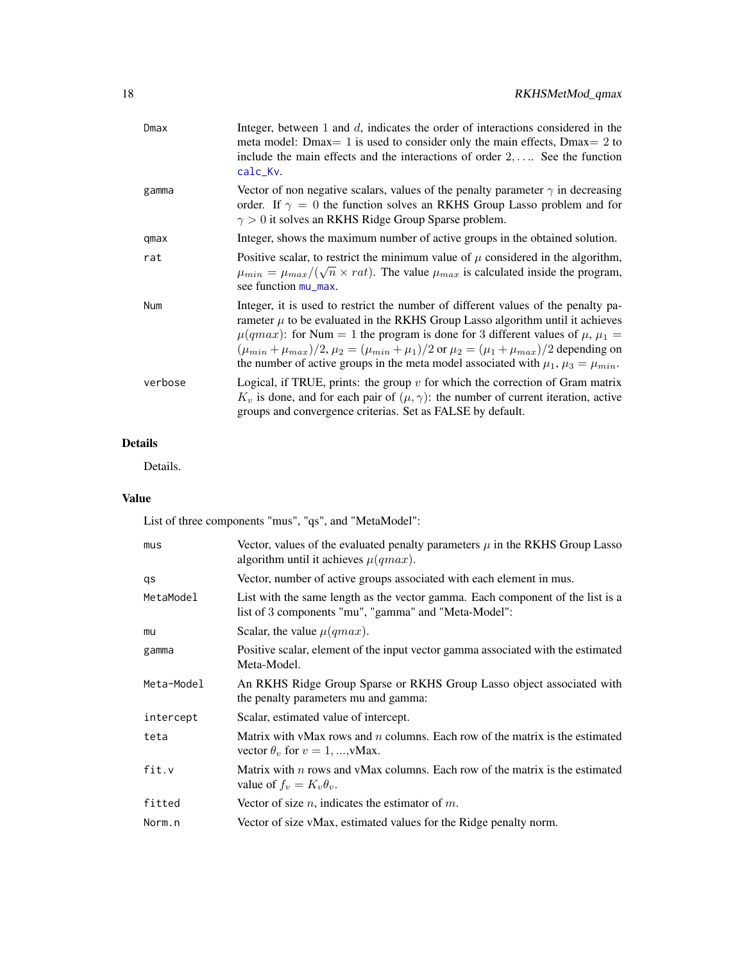| Dmax    | Integer, between $1$ and $d$ , indicates the order of interactions considered in the<br>meta model: Dmax= 1 is used to consider only the main effects, Dmax= 2 to<br>include the main effects and the interactions of order $2, \ldots$ . See the function<br>calc_Kv.                                                                                                                                                                                                                |
|---------|---------------------------------------------------------------------------------------------------------------------------------------------------------------------------------------------------------------------------------------------------------------------------------------------------------------------------------------------------------------------------------------------------------------------------------------------------------------------------------------|
| gamma   | Vector of non negative scalars, values of the penalty parameter $\gamma$ in decreasing<br>order. If $\gamma = 0$ the function solves an RKHS Group Lasso problem and for<br>$\gamma > 0$ it solves an RKHS Ridge Group Sparse problem.                                                                                                                                                                                                                                                |
| qmax    | Integer, shows the maximum number of active groups in the obtained solution.                                                                                                                                                                                                                                                                                                                                                                                                          |
| rat     | Positive scalar, to restrict the minimum value of $\mu$ considered in the algorithm,<br>$\mu_{min} = \mu_{max}/(\sqrt{n} \times rat)$ . The value $\mu_{max}$ is calculated inside the program,<br>see function mu_max.                                                                                                                                                                                                                                                               |
| Num     | Integer, it is used to restrict the number of different values of the penalty pa-<br>rameter $\mu$ to be evaluated in the RKHS Group Lasso algorithm until it achieves<br>$\mu(qmax)$ : for Num = 1 the program is done for 3 different values of $\mu$ , $\mu_1$ =<br>$(\mu_{min} + \mu_{max})/2$ , $\mu_2 = (\mu_{min} + \mu_1)/2$ or $\mu_2 = (\mu_1 + \mu_{max})/2$ depending on<br>the number of active groups in the meta model associated with $\mu_1$ , $\mu_3 = \mu_{min}$ . |
| verbose | Logical, if TRUE, prints: the group $v$ for which the correction of Gram matrix<br>$K_v$ is done, and for each pair of $(\mu, \gamma)$ : the number of current iteration, active<br>groups and convergence criterias. Set as FALSE by default.                                                                                                                                                                                                                                        |
|         |                                                                                                                                                                                                                                                                                                                                                                                                                                                                                       |

## Details

Details.

## Value

List of three components "mus", "qs", and "MetaModel":

| mus        | Vector, values of the evaluated penalty parameters $\mu$ in the RKHS Group Lasso<br>algorithm until it achieves $\mu(qmax)$ .          |
|------------|----------------------------------------------------------------------------------------------------------------------------------------|
| qs         | Vector, number of active groups associated with each element in mus.                                                                   |
| MetaModel  | List with the same length as the vector gamma. Each component of the list is a<br>list of 3 components "mu", "gamma" and "Meta-Model": |
| mu         | Scalar, the value $\mu(qmax)$ .                                                                                                        |
| gamma      | Positive scalar, element of the input vector gamma associated with the estimated<br>Meta-Model.                                        |
| Meta-Model | An RKHS Ridge Group Sparse or RKHS Group Lasso object associated with<br>the penalty parameters mu and gamma:                          |
| intercept  | Scalar, estimated value of intercept.                                                                                                  |
| teta       | Matrix with vMax rows and $n$ columns. Each row of the matrix is the estimated<br>vector $\theta_v$ for $v = 1, , v$ Max.              |
| fit.v      | Matrix with $n$ rows and vMax columns. Each row of the matrix is the estimated<br>value of $f_v = K_v \theta_v$ .                      |
| fitted     | Vector of size $n$ , indicates the estimator of $m$ .                                                                                  |
| Norm.n     | Vector of size vMax, estimated values for the Ridge penalty norm.                                                                      |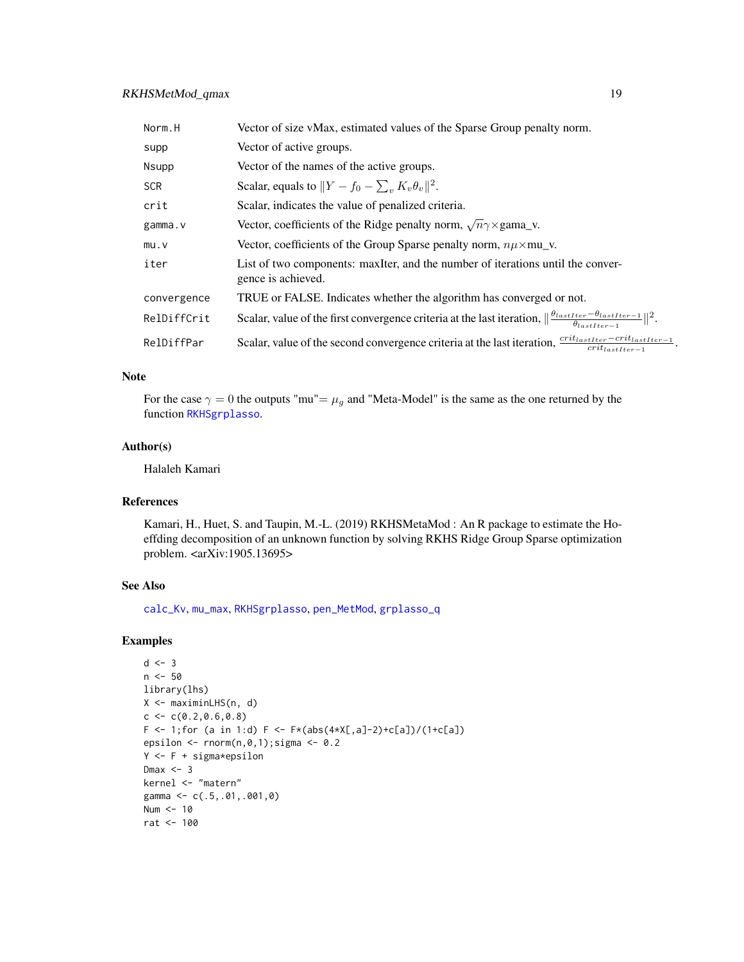## <span id="page-18-0"></span>RKHSMetMod\_qmax 19

| Norm.H      | Vector of size vMax, estimated values of the Sparse Group penalty norm.                                                                              |
|-------------|------------------------------------------------------------------------------------------------------------------------------------------------------|
| supp        | Vector of active groups.                                                                                                                             |
| Nsupp       | Vector of the names of the active groups.                                                                                                            |
| <b>SCR</b>  | Scalar, equals to $  Y - f_0 - \sum_{v} K_v \theta_v  ^2$ .                                                                                          |
| crit        | Scalar, indicates the value of penalized criteria.                                                                                                   |
| gamma.v     | Vector, coefficients of the Ridge penalty norm, $\sqrt{n}\gamma \times \text{gamma}_N$ .                                                             |
| mu.v        | Vector, coefficients of the Group Sparse penalty norm, $n\mu \times m$ u_v.                                                                          |
| iter        | List of two components: maxIter, and the number of iterations until the conver-<br>gence is achieved.                                                |
| convergence | TRUE or FALSE. Indicates whether the algorithm has converged or not.                                                                                 |
| RelDiffCrit | Scalar, value of the first convergence criteria at the last iteration, $\ \frac{\theta_{lastIter} - \theta_{lastIter} - 1}{\theta_{testIter}}\ ^2$ . |
| RelDiffPar  | Scalar, value of the second convergence criteria at the last iteration, $\frac{crit_{lastIter} - crit_{lastIter} - 1}{crit_{lastIter} - 1}$ .        |

#### Note

For the case  $\gamma = 0$  the outputs "mu"=  $\mu_g$  and "Meta-Model" is the same as the one returned by the function [RKHSgrplasso](#page-12-1).

## Author(s)

Halaleh Kamari

## References

Kamari, H., Huet, S. and Taupin, M.-L. (2019) RKHSMetaMod : An R package to estimate the Hoeffding decomposition of an unknown function by solving RKHS Ridge Group Sparse optimization problem. <arXiv:1905.13695>

## See Also

[calc\\_Kv](#page-2-1), [mu\\_max](#page-6-1), [RKHSgrplasso](#page-12-1), [pen\\_MetMod](#page-7-1), [grplasso\\_q](#page-4-1)

```
d \le -3n <- 50
library(lhs)
X <- maximinLHS(n, d)
c \leq -c(0.2, 0.6, 0.8)F \leftarrow 1; for (a in 1:d) F \leftarrow F*(abs(4*X[, a]-2)+c[a])/(1+c[a])epsilon \leq rnorm(n, 0, 1); sigma \leq 0.2
Y <- F + sigma*epsilon
Dmax <-3kernel <- "matern"
gamma <- c(.5,.01,.001,0)
Num <-10rat <- 100
```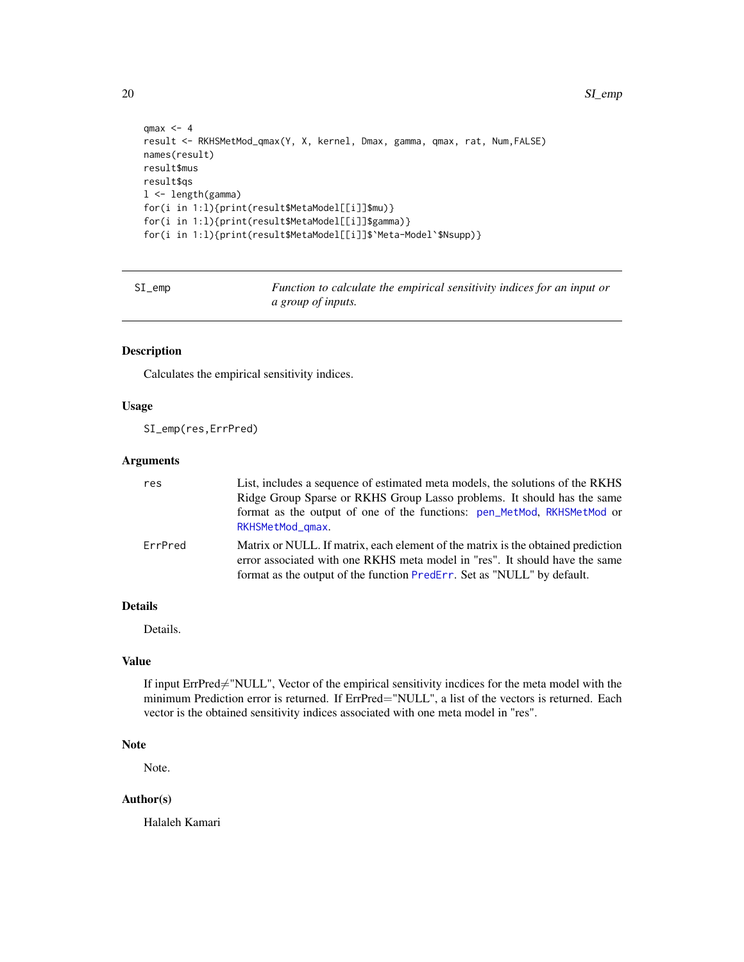20 SI\_emp

```
qmax <-4result <- RKHSMetMod_qmax(Y, X, kernel, Dmax, gamma, qmax, rat, Num,FALSE)
names(result)
result$mus
result$qs
l <- length(gamma)
for(i in 1:l){print(result$MetaModel[[i]]$mu)}
for(i in 1:l){print(result$MetaModel[[i]]$gamma)}
for(i in 1:l){print(result$MetaModel[[i]]$`Meta-Model`$Nsupp)}
```
SI\_emp *Function to calculate the empirical sensitivity indices for an input or a group of inputs.*

#### Description

Calculates the empirical sensitivity indices.

## Usage

SI\_emp(res,ErrPred)

## Arguments

| res     | List, includes a sequence of estimated meta models, the solutions of the RKHS<br>Ridge Group Sparse or RKHS Group Lasso problems. It should has the same<br>format as the output of one of the functions: pen_MetMod, RKHSMetMod or<br>RKHSMetMod_gmax. |
|---------|---------------------------------------------------------------------------------------------------------------------------------------------------------------------------------------------------------------------------------------------------------|
| ErrPred | Matrix or NULL. If matrix, each element of the matrix is the obtained prediction<br>error associated with one RKHS meta model in "res". It should have the same<br>format as the output of the function PredErr. Set as "NULL" by default.              |

## Details

Details.

## Value

If input ErrPred≠"NULL", Vector of the empirical sensitivity incdices for the meta model with the minimum Prediction error is returned. If ErrPred="NULL", a list of the vectors is returned. Each vector is the obtained sensitivity indices associated with one meta model in "res".

## Note

Note.

## Author(s)

Halaleh Kamari

<span id="page-19-0"></span>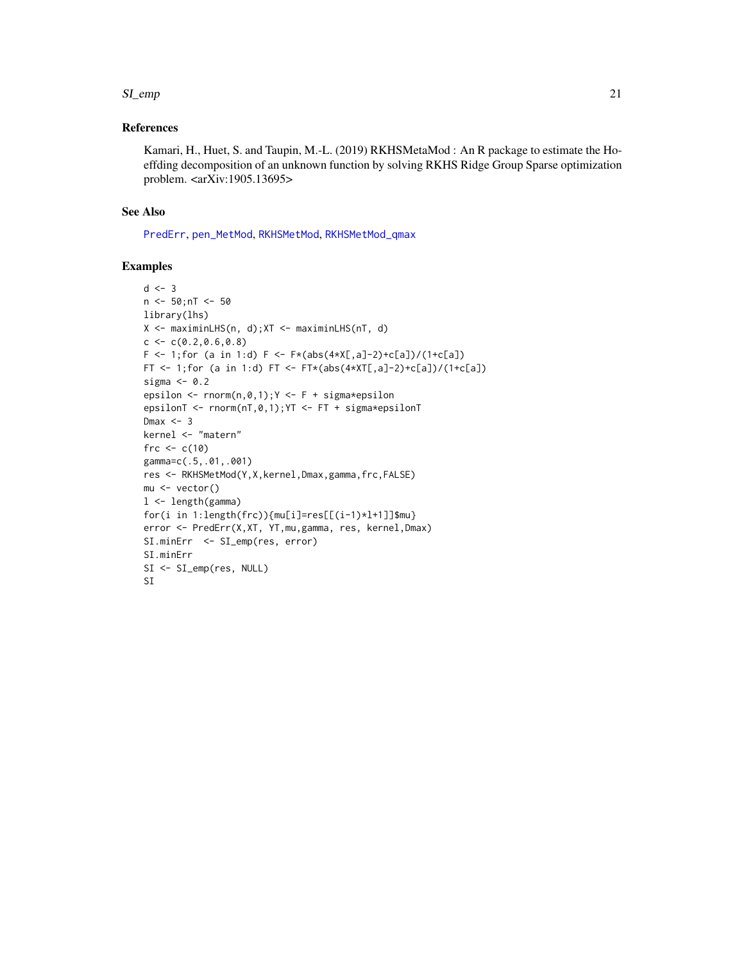#### <span id="page-20-0"></span> $SI_{\text{amp}}$  21

## References

Kamari, H., Huet, S. and Taupin, M.-L. (2019) RKHSMetaMod : An R package to estimate the Hoeffding decomposition of an unknown function by solving RKHS Ridge Group Sparse optimization problem. <arXiv:1905.13695>

#### See Also

[PredErr](#page-10-1), [pen\\_MetMod](#page-7-1), [RKHSMetMod](#page-14-1), [RKHSMetMod\\_qmax](#page-16-1)

```
d \leq -3n < -50; nT < -50library(lhs)
X \le - maximinLHS(n, d); XT \le - maximinLHS(nT, d)
c \leq c(0.2, 0.6, 0.8)F <- 1; for (a in 1:d) F <- F*(abs(4*X[, a]-2)+c[a])/(1+c[a])FT <- 1; for (a in 1:d) FT <- FT*(abs(4*XT[, a]-2)+c[a])/(1+c[a])sigma <-0.2epsilon \leq rnorm(n,0,1); Y \leq F + \text{sigma*epsilon}epsilonT <- rnorm(nT,0,1);YT <- FT + sigma*epsilonT
Dmax <-3kernel <- "matern"
frc <-c(10)gamma=c(.5,.01,.001)
res <- RKHSMetMod(Y,X,kernel,Dmax,gamma,frc,FALSE)
mu <- vector()
l <- length(gamma)
for(i in 1:length(frc)){mu[i]=res[[(i-1)*l+1]]$mu}
error <- PredErr(X,XT, YT,mu,gamma, res, kernel,Dmax)
SI.minErr <- SI_emp(res, error)
SI.minErr
SI <- SI_emp(res, NULL)
SI
```